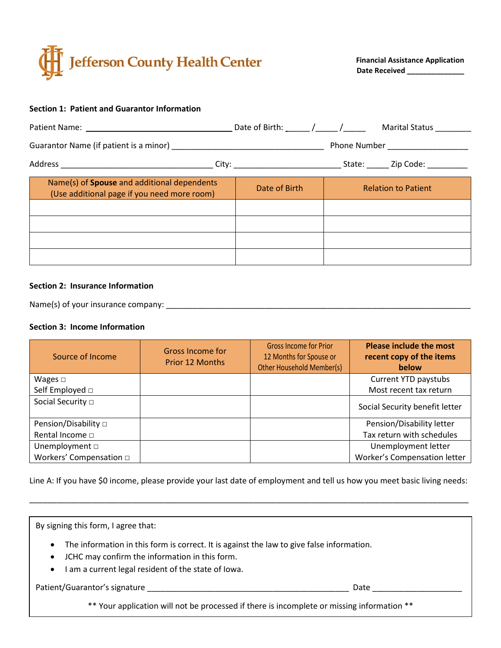

**Financial Assistance Application Date Received \_\_\_\_\_\_\_\_\_\_\_\_\_\_**

### **Section 1: Patient and Guarantor Information**

|                                                                                                   | Phone Number ______________________                                              |                            |  |  |
|---------------------------------------------------------------------------------------------------|----------------------------------------------------------------------------------|----------------------------|--|--|
|                                                                                                   | _ City: ___________________________________State: ________ Zip Code: ___________ |                            |  |  |
| Name(s) of <b>Spouse</b> and additional dependents<br>(Use additional page if you need more room) | Date of Birth                                                                    | <b>Relation to Patient</b> |  |  |
|                                                                                                   |                                                                                  |                            |  |  |
|                                                                                                   |                                                                                  |                            |  |  |
|                                                                                                   |                                                                                  |                            |  |  |
|                                                                                                   |                                                                                  |                            |  |  |

#### **Section 2: Insurance Information**

Name(s) of your insurance company: \_\_\_\_\_\_\_\_\_\_\_\_\_\_\_\_\_\_\_\_\_\_\_\_\_\_\_\_\_\_\_\_\_\_\_\_\_\_\_\_\_\_\_\_\_\_\_\_\_\_\_\_\_\_\_\_\_\_\_\_\_\_\_\_\_\_\_\_

### **Section 3: Income Information**

| Source of Income                | <b>Gross Income for</b><br><b>Prior 12 Months</b> | <b>Gross Income for Prior</b><br>12 Months for Spouse or<br><b>Other Household Member(s)</b> | <b>Please include the most</b><br>recent copy of the items<br>below |
|---------------------------------|---------------------------------------------------|----------------------------------------------------------------------------------------------|---------------------------------------------------------------------|
| Wages $\Box$                    |                                                   |                                                                                              | Current YTD paystubs                                                |
| Self Employed □                 |                                                   |                                                                                              | Most recent tax return                                              |
| Social Security $\Box$          |                                                   |                                                                                              | Social Security benefit letter                                      |
| Pension/Disability □            |                                                   |                                                                                              | Pension/Disability letter                                           |
| Rental Income $\Box$            |                                                   |                                                                                              | Tax return with schedules                                           |
| Unemployment $\square$          |                                                   |                                                                                              | Unemployment letter                                                 |
| Workers' Compensation $\square$ |                                                   |                                                                                              | Worker's Compensation letter                                        |

Line A: If you have \$0 income, please provide your last date of employment and tell us how you meet basic living needs:

\_\_\_\_\_\_\_\_\_\_\_\_\_\_\_\_\_\_\_\_\_\_\_\_\_\_\_\_\_\_\_\_\_\_\_\_\_\_\_\_\_\_\_\_\_\_\_\_\_\_\_\_\_\_\_\_\_\_\_\_\_\_\_\_\_\_\_\_\_\_\_\_\_\_\_\_\_\_\_\_\_\_\_\_\_\_\_\_\_\_\_\_\_\_\_\_\_\_

By signing this form, I agree that:

- The information in this form is correct. It is against the law to give false information.
- JCHC may confirm the information in this form.
- I am a current legal resident of the state of Iowa.

Patient/Guarantor's signature \_\_\_\_\_\_\_\_\_\_\_\_\_\_\_\_\_\_\_\_\_\_\_\_\_\_\_\_\_\_\_\_\_\_\_\_\_\_\_\_\_\_\_\_\_ Date \_\_\_\_\_\_\_\_\_\_\_\_\_\_\_\_\_\_\_\_

\*\* Your application will not be processed if there is incomplete or missing information \*\*